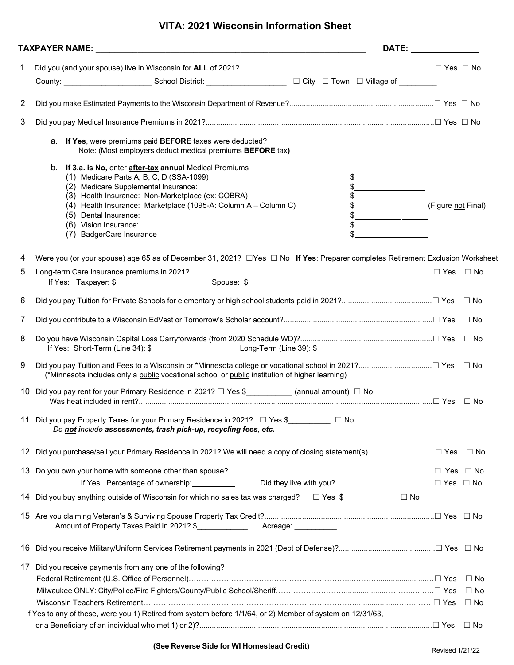## **VITA: 2021 Wisconsin Information Sheet**

| If Yes, were premiums paid BEFORE taxes were deducted?<br>а.<br>Note: (Most employers deduct medical premiums BEFORE tax)<br>If 3.a. is No, enter <b>after-tax</b> annual Medical Premiums<br>b.<br>(1) Medicare Parts A, B, C, D (SSA-1099)<br>(2) Medicare Supplemental Insurance:<br>(3) Health Insurance: Non-Marketplace (ex: COBRA)<br>(4) Health Insurance: Marketplace (1095-A: Column A - Column C)<br>(5) Dental Insurance:<br>(6) Vision Insurance:<br><b>BadgerCare Insurance</b><br>(7) | $\frac{1}{2}$<br>$\frac{1}{2}$<br>$\frac{1}{2}$<br>$\begin{picture}(20,10) \put(0,0){\vector(1,0){100}} \put(15,0){\vector(1,0){100}} \put(15,0){\vector(1,0){100}} \put(15,0){\vector(1,0){100}} \put(15,0){\vector(1,0){100}} \put(15,0){\vector(1,0){100}} \put(15,0){\vector(1,0){100}} \put(15,0){\vector(1,0){100}} \put(15,0){\vector(1,0){100}} \put(15,0){\vector(1,0){100}} \put(15,0){\vector(1,0){100}} \$<br>$\begin{picture}(20,10) \put(0,0){\vector(1,0){100}} \put(15,0){\vector(1,0){100}} \put(15,0){\vector(1,0){100}} \put(15,0){\vector(1,0){100}} \put(15,0){\vector(1,0){100}} \put(15,0){\vector(1,0){100}} \put(15,0){\vector(1,0){100}} \put(15,0){\vector(1,0){100}} \put(15,0){\vector(1,0){100}} \put(15,0){\vector(1,0){100}} \put(15,0){\vector(1,0){100}} \$ |
|------------------------------------------------------------------------------------------------------------------------------------------------------------------------------------------------------------------------------------------------------------------------------------------------------------------------------------------------------------------------------------------------------------------------------------------------------------------------------------------------------|-----------------------------------------------------------------------------------------------------------------------------------------------------------------------------------------------------------------------------------------------------------------------------------------------------------------------------------------------------------------------------------------------------------------------------------------------------------------------------------------------------------------------------------------------------------------------------------------------------------------------------------------------------------------------------------------------------------------------------------------------------------------------------------------------|
|                                                                                                                                                                                                                                                                                                                                                                                                                                                                                                      |                                                                                                                                                                                                                                                                                                                                                                                                                                                                                                                                                                                                                                                                                                                                                                                               |
|                                                                                                                                                                                                                                                                                                                                                                                                                                                                                                      |                                                                                                                                                                                                                                                                                                                                                                                                                                                                                                                                                                                                                                                                                                                                                                                               |
|                                                                                                                                                                                                                                                                                                                                                                                                                                                                                                      |                                                                                                                                                                                                                                                                                                                                                                                                                                                                                                                                                                                                                                                                                                                                                                                               |
|                                                                                                                                                                                                                                                                                                                                                                                                                                                                                                      |                                                                                                                                                                                                                                                                                                                                                                                                                                                                                                                                                                                                                                                                                                                                                                                               |
|                                                                                                                                                                                                                                                                                                                                                                                                                                                                                                      |                                                                                                                                                                                                                                                                                                                                                                                                                                                                                                                                                                                                                                                                                                                                                                                               |
|                                                                                                                                                                                                                                                                                                                                                                                                                                                                                                      |                                                                                                                                                                                                                                                                                                                                                                                                                                                                                                                                                                                                                                                                                                                                                                                               |
|                                                                                                                                                                                                                                                                                                                                                                                                                                                                                                      |                                                                                                                                                                                                                                                                                                                                                                                                                                                                                                                                                                                                                                                                                                                                                                                               |
|                                                                                                                                                                                                                                                                                                                                                                                                                                                                                                      |                                                                                                                                                                                                                                                                                                                                                                                                                                                                                                                                                                                                                                                                                                                                                                                               |
|                                                                                                                                                                                                                                                                                                                                                                                                                                                                                                      |                                                                                                                                                                                                                                                                                                                                                                                                                                                                                                                                                                                                                                                                                                                                                                                               |
|                                                                                                                                                                                                                                                                                                                                                                                                                                                                                                      |                                                                                                                                                                                                                                                                                                                                                                                                                                                                                                                                                                                                                                                                                                                                                                                               |
|                                                                                                                                                                                                                                                                                                                                                                                                                                                                                                      |                                                                                                                                                                                                                                                                                                                                                                                                                                                                                                                                                                                                                                                                                                                                                                                               |
|                                                                                                                                                                                                                                                                                                                                                                                                                                                                                                      |                                                                                                                                                                                                                                                                                                                                                                                                                                                                                                                                                                                                                                                                                                                                                                                               |
|                                                                                                                                                                                                                                                                                                                                                                                                                                                                                                      |                                                                                                                                                                                                                                                                                                                                                                                                                                                                                                                                                                                                                                                                                                                                                                                               |
| Were you (or your spouse) age 65 as of December 31, 2021? □ Yes □ No If Yes: Preparer completes Retirement Exclusion Worksheet                                                                                                                                                                                                                                                                                                                                                                       |                                                                                                                                                                                                                                                                                                                                                                                                                                                                                                                                                                                                                                                                                                                                                                                               |
|                                                                                                                                                                                                                                                                                                                                                                                                                                                                                                      |                                                                                                                                                                                                                                                                                                                                                                                                                                                                                                                                                                                                                                                                                                                                                                                               |
|                                                                                                                                                                                                                                                                                                                                                                                                                                                                                                      |                                                                                                                                                                                                                                                                                                                                                                                                                                                                                                                                                                                                                                                                                                                                                                                               |
|                                                                                                                                                                                                                                                                                                                                                                                                                                                                                                      |                                                                                                                                                                                                                                                                                                                                                                                                                                                                                                                                                                                                                                                                                                                                                                                               |
|                                                                                                                                                                                                                                                                                                                                                                                                                                                                                                      |                                                                                                                                                                                                                                                                                                                                                                                                                                                                                                                                                                                                                                                                                                                                                                                               |
| (*Minnesota includes only a public vocational school or public institution of higher learning)                                                                                                                                                                                                                                                                                                                                                                                                       |                                                                                                                                                                                                                                                                                                                                                                                                                                                                                                                                                                                                                                                                                                                                                                                               |
| Did you pay rent for your Primary Residence in 2021? □ Yes \$___________ (annual amount) □ No<br>10                                                                                                                                                                                                                                                                                                                                                                                                  |                                                                                                                                                                                                                                                                                                                                                                                                                                                                                                                                                                                                                                                                                                                                                                                               |
| 11 Did you pay Property Taxes for your Primary Residence in 2021? □ Yes \$_________ □ No<br>Do not include assessments, trash pick-up, recycling fees, etc.                                                                                                                                                                                                                                                                                                                                          |                                                                                                                                                                                                                                                                                                                                                                                                                                                                                                                                                                                                                                                                                                                                                                                               |
| 12 Did you purchase/sell your Primary Residence in 2021? We will need a copy of closing statement(s)□ Yes □ No                                                                                                                                                                                                                                                                                                                                                                                       |                                                                                                                                                                                                                                                                                                                                                                                                                                                                                                                                                                                                                                                                                                                                                                                               |
|                                                                                                                                                                                                                                                                                                                                                                                                                                                                                                      |                                                                                                                                                                                                                                                                                                                                                                                                                                                                                                                                                                                                                                                                                                                                                                                               |
| If Yes: Percentage of ownership: 1990                                                                                                                                                                                                                                                                                                                                                                                                                                                                |                                                                                                                                                                                                                                                                                                                                                                                                                                                                                                                                                                                                                                                                                                                                                                                               |
| Did you buy anything outside of Wisconsin for which no sales tax was charged? □ Yes \$<br>□ Yes \$<br>□<br>14                                                                                                                                                                                                                                                                                                                                                                                        |                                                                                                                                                                                                                                                                                                                                                                                                                                                                                                                                                                                                                                                                                                                                                                                               |
| Amount of Property Taxes Paid in 2021? \$<br>Acreage: <u>____________</u>                                                                                                                                                                                                                                                                                                                                                                                                                            |                                                                                                                                                                                                                                                                                                                                                                                                                                                                                                                                                                                                                                                                                                                                                                                               |
| 16                                                                                                                                                                                                                                                                                                                                                                                                                                                                                                   |                                                                                                                                                                                                                                                                                                                                                                                                                                                                                                                                                                                                                                                                                                                                                                                               |
| Did you receive payments from any one of the following?<br>17                                                                                                                                                                                                                                                                                                                                                                                                                                        |                                                                                                                                                                                                                                                                                                                                                                                                                                                                                                                                                                                                                                                                                                                                                                                               |
|                                                                                                                                                                                                                                                                                                                                                                                                                                                                                                      | $\Box$ No                                                                                                                                                                                                                                                                                                                                                                                                                                                                                                                                                                                                                                                                                                                                                                                     |
|                                                                                                                                                                                                                                                                                                                                                                                                                                                                                                      | $\Box$ No                                                                                                                                                                                                                                                                                                                                                                                                                                                                                                                                                                                                                                                                                                                                                                                     |
|                                                                                                                                                                                                                                                                                                                                                                                                                                                                                                      | $\Box$ No                                                                                                                                                                                                                                                                                                                                                                                                                                                                                                                                                                                                                                                                                                                                                                                     |
| If Yes to any of these, were you 1) Retired from system before 1/1/64, or 2) Member of system on 12/31/63,                                                                                                                                                                                                                                                                                                                                                                                           |                                                                                                                                                                                                                                                                                                                                                                                                                                                                                                                                                                                                                                                                                                                                                                                               |
|                                                                                                                                                                                                                                                                                                                                                                                                                                                                                                      |                                                                                                                                                                                                                                                                                                                                                                                                                                                                                                                                                                                                                                                                                                                                                                                               |